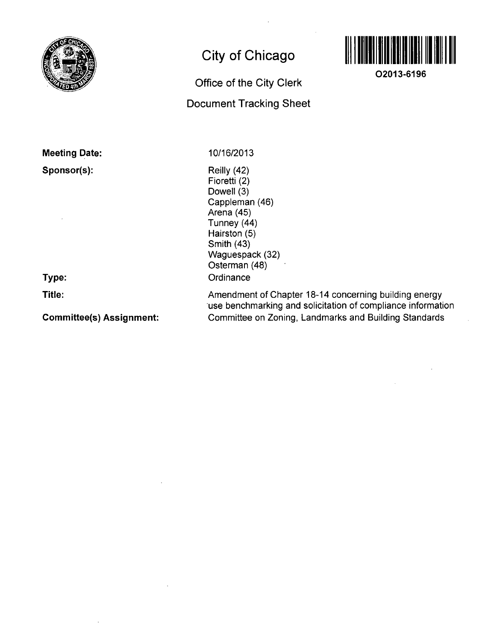

# **City of Chicago**

## **Office of the City Clerk Document Tracking Sheet**



**02013-6196** 

**Meeting Date:** 

**Sponsor(s):** 

**Type:** 

**Title:** 

**Committee(s) Assignment:** 

10/16/2013

Reilly (42) Fioretti (2) Dowell (3) Cappleman (46) Arena (45) Tunney (44) Hairston<sup>(5)</sup> Smith (43) Waguespack (32) Osterman (48) **Ordinance** 

Amendment of Chapter 18-14 concerning building energy use benchmarking and solicitation of compliance information Committee on Zoning, Landmarks and Building Standards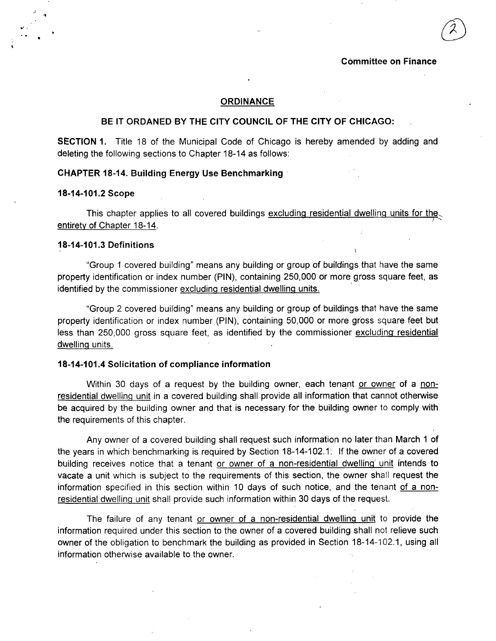**Committee on Finance** 

*(3)* 

#### **ORDINANCE**

#### **BE IT ORDANED BY THE CITY COUNCIL OF THE CITY OF CHICAGO:**

SECTION 1. Title 18 of the Municipal Code of Chicago is hereby amended by adding and deleting the following sections to Chapter 18-14 as follows:

#### **CHAPTER 18-14. Building Energy Use Benchmarking**

#### **18-14-101.2 Scope**

This chapter applies to all covered buildings excluding residential dwelling units for the entirety of Chapter 18-14.

#### **18-14-101.3 Definitions**

"Group 1 covered building" means any building or group of buildings that have the same property identification or index number (PIN), containing 250,000 Or more gross square feet, as identified by the commissioner excluding residential dwelling units.

"Group 2 covered building" means any building or group of buildings that have the same property identification or index number (PIN), containing 50,000 or more gross square feet but less than 250,000 gross square feet, as identified by the commissioner excluding residential dwelling units.

#### **18-14-101.4 Solicitation of compliance information**

Within 30 days of a request by the building owner, each tenant or owner of a nonresidential dwelling unit in a covered building shall provide all information that cannot othenwise be acguired by the building owner and that is necessary for the building owner to comply with the requirements of this chapter.

Any owner of a covered building shall request such information no later than March 1 of the years in which benchmarking is required by Section 18-14-102.1: If the owner of a covered building receives notice that a tenant or owner of a non-residential dwelling unit intends to vacate a unit which is subject to the reguirements of this section, the owner shall request the information specified in this section within 10 days of such notice, and the tenant of a nonresidential dwelling unit shall provide such information within 30 days ofthe request.

The failure of any tenant or owner of a non-residential dwelling unit to provide the information required under this section to the owner of a covered building shall not relieve such owner of the obligation to benchmark the building as provided in Section 18-14-102.1, using all information otherwise available to the owner.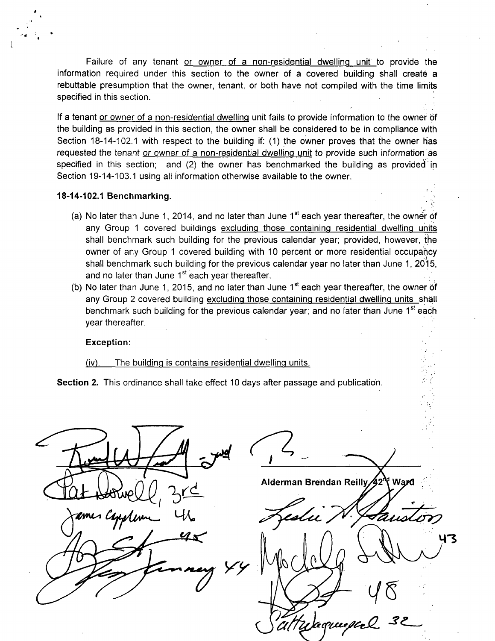Failure of any tenant or owner of a non-residential dwelling unit to provide the information required under this section to the owner of a covered building shall create a rebuttable presumption that the owner, tenant, or both have not compiled with the time limits specified in this section.

If a tenant or owner of a non-residential dwelling unit fails to provide information to the owner of the building as provided in this section, the owner shall be considered to be in compliance with Section 18-14-102.1 with respect to the building if: (1) the owner proves that the owner has requested the tenant or owner of a non-residential dwelling unit to provide such information as specified in this section; and (2) the owner has benchmarked the building as provided in Section 19-14-103.1 using all information otherwise available to the owner.

## **18-14-102.1 Benchmarking.**

- (a) No later than June 1, 2014, and no later than June  $1<sup>st</sup>$  each year thereafter, the owner of any Group 1 covered buildings excluding those containing residential dwelling units shall benchmark such building for the previous calendar year; provided, however, the owner of any Group 1 covered building with 10 percent or more residential occupancy shall benchmark such building for the previous calendar year no later than June 1, 2015, and no later than June  $1<sup>st</sup>$  each year thereafter.
- (b) No later than June 1, 2015, and no later than June  $1<sup>st</sup>$  each year thereafter, the owner of any Group 2 covered building excluding those containing residential dwelling units shall benchmark such building for the previous calendar year; and no later than June  $1^{st}$  each year thereafter.

## **Exception:**

(iv). The building is contains residential dwelling units.

Section 2. This ordinance shall take effect 10 days after passage and publication.

Alderman Brendan Reilly 42 <u>tequeestel</u>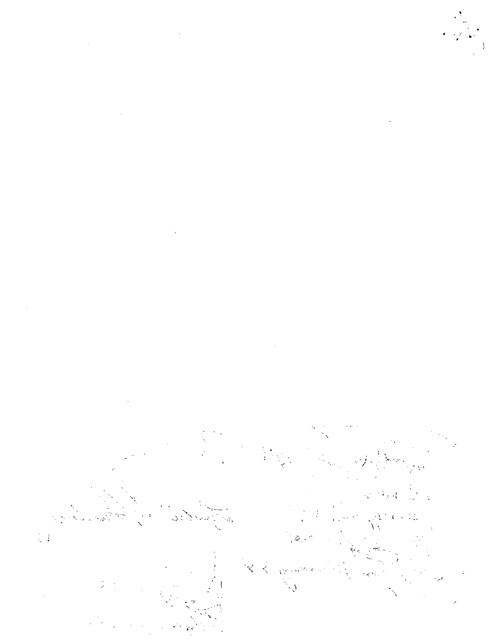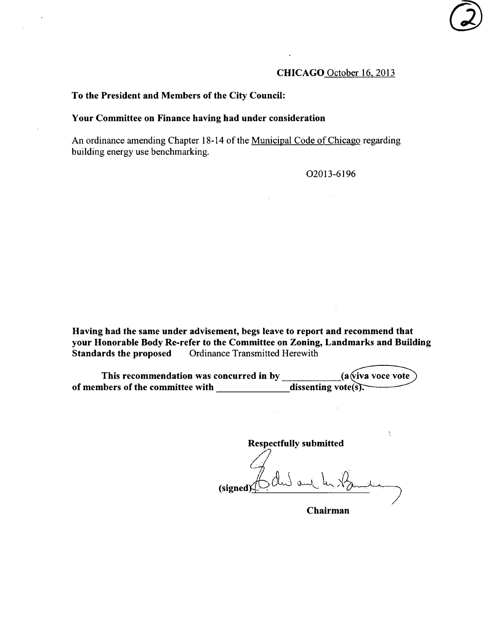## CHICAGO October 16, 2013

### **To the President and Members of the City Council:**

## **Your Committee on Finance having had under consideration**

An ordinance amending Chapter 18-14 of the Municipal Code of Chicago regarding building energy use benchmarking.

02013-6196

Having had the same under advisement, begs leave to report and recommend that your Honorable Body Re-refer to the Committee on Zoning, Landmarks and Building Standards the proposed Ordinance Transmitted Herewith

This recommendation was concurred in by \_\_\_\_\_\_\_\_\_\_\_\_(a viva voce vote of members of the committee with **dissenting vote(s)**.

**Respectfully submitted**  du and (signed)

**Chairman**